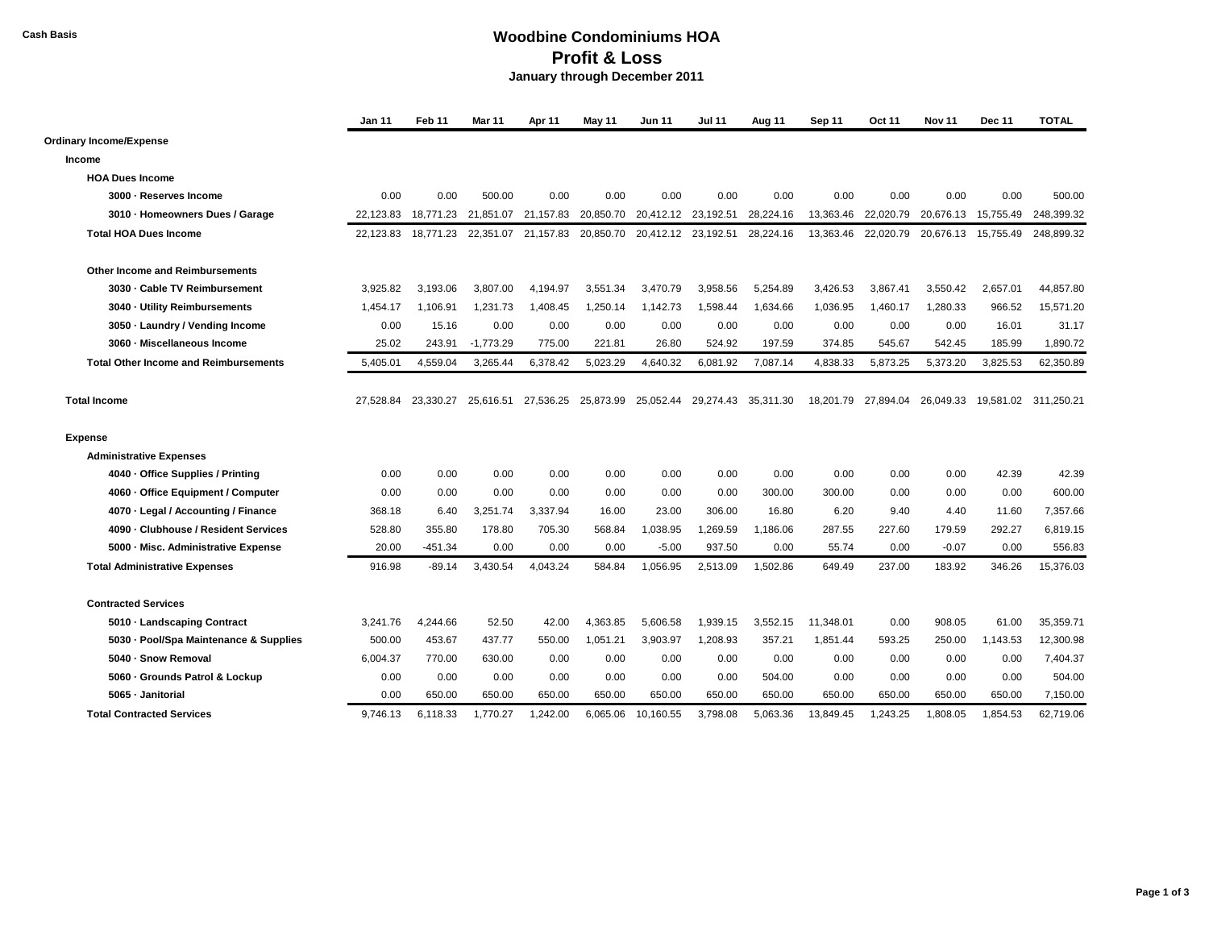## **Cash Basis Woodbine Condominiums HOA Profit & Loss January through December 2011**

|                                              | Jan 11    | Feb 11    | <b>Mar 11</b> | Apr 11              | May 11    | <b>Jun 11</b> | <b>Jul 11</b>                 | Aug 11    | Sep 11    | <b>Oct 11</b> | <b>Nov 11</b>                 | <b>Dec 11</b> | <b>TOTAL</b> |
|----------------------------------------------|-----------|-----------|---------------|---------------------|-----------|---------------|-------------------------------|-----------|-----------|---------------|-------------------------------|---------------|--------------|
| <b>Ordinary Income/Expense</b>               |           |           |               |                     |           |               |                               |           |           |               |                               |               |              |
| Income                                       |           |           |               |                     |           |               |                               |           |           |               |                               |               |              |
| <b>HOA Dues Income</b>                       |           |           |               |                     |           |               |                               |           |           |               |                               |               |              |
| 3000 - Reserves Income                       | 0.00      | 0.00      | 500.00        | 0.00                | 0.00      | 0.00          | 0.00                          | 0.00      | 0.00      | 0.00          | 0.00                          | 0.00          | 500.00       |
| 3010 - Homeowners Dues / Garage              | 22.123.83 | 18,771.23 | 21,851.07     | 21,157.83           | 20,850.70 | 20,412.12     | 23,192.51                     | 28,224.16 | 13,363.46 | 22,020.79     | 20,676.13                     | 15,755.49     | 248,399.32   |
| <b>Total HOA Dues Income</b>                 | 22.123.83 | 18.771.23 |               | 22,351.07 21,157.83 |           |               | 20,850.70 20,412.12 23,192.51 | 28,224.16 | 13,363.46 |               | 22,020.79 20,676.13 15,755.49 |               | 248.899.32   |
| <b>Other Income and Reimbursements</b>       |           |           |               |                     |           |               |                               |           |           |               |                               |               |              |
| 3030 - Cable TV Reimbursement                | 3.925.82  | 3,193.06  | 3,807.00      | 4,194.97            | 3,551.34  | 3,470.79      | 3,958.56                      | 5,254.89  | 3,426.53  | 3.867.41      | 3,550.42                      | 2,657.01      | 44,857.80    |
| 3040 - Utility Reimbursements                | 1.454.17  | 1.106.91  | 1,231.73      | 1,408.45            | 1,250.14  | 1.142.73      | 1,598.44                      | 1,634.66  | 1,036.95  | 1,460.17      | 1,280.33                      | 966.52        | 15,571.20    |
| 3050 - Laundry / Vending Income              | 0.00      | 15.16     | 0.00          | 0.00                | 0.00      | 0.00          | 0.00                          | 0.00      | 0.00      | 0.00          | 0.00                          | 16.01         | 31.17        |
| 3060 - Miscellaneous Income                  | 25.02     | 243.91    | $-1,773.29$   | 775.00              | 221.81    | 26.80         | 524.92                        | 197.59    | 374.85    | 545.67        | 542.45                        | 185.99        | 1,890.72     |
| <b>Total Other Income and Reimbursements</b> | 5.405.01  | 4.559.04  | 3.265.44      | 6.378.42            | 5.023.29  | 4.640.32      | 6.081.92                      | 7.087.14  | 4.838.33  | 5.873.25      | 5,373.20                      | 3.825.53      | 62,350.89    |
| <b>Total Income</b>                          | 27.528.84 | 23.330.27 | 25.616.51     | 27,536.25           | 25,873.99 | 25,052.44     | 29.274.43                     | 35,311.30 | 18.201.79 | 27.894.04     | 26.049.33                     | 19.581.02     | 311.250.21   |
| <b>Expense</b>                               |           |           |               |                     |           |               |                               |           |           |               |                               |               |              |
| <b>Administrative Expenses</b>               |           |           |               |                     |           |               |                               |           |           |               |                               |               |              |
| 4040 - Office Supplies / Printing            | 0.00      | 0.00      | 0.00          | 0.00                | 0.00      | 0.00          | 0.00                          | 0.00      | 0.00      | 0.00          | 0.00                          | 42.39         | 42.39        |
| 4060 - Office Equipment / Computer           | 0.00      | 0.00      | 0.00          | 0.00                | 0.00      | 0.00          | 0.00                          | 300.00    | 300.00    | 0.00          | 0.00                          | 0.00          | 600.00       |
| 4070 · Legal / Accounting / Finance          | 368.18    | 6.40      | 3,251.74      | 3,337.94            | 16.00     | 23.00         | 306.00                        | 16.80     | 6.20      | 9.40          | 4.40                          | 11.60         | 7,357.66     |
| 4090 - Clubhouse / Resident Services         | 528.80    | 355.80    | 178.80        | 705.30              | 568.84    | 1,038.95      | 1,269.59                      | 1,186.06  | 287.55    | 227.60        | 179.59                        | 292.27        | 6,819.15     |
| 5000 - Misc. Administrative Expense          | 20.00     | $-451.34$ | 0.00          | 0.00                | 0.00      | $-5.00$       | 937.50                        | 0.00      | 55.74     | 0.00          | $-0.07$                       | 0.00          | 556.83       |
| <b>Total Administrative Expenses</b>         | 916.98    | $-89.14$  | 3,430.54      | 4,043.24            | 584.84    | 1,056.95      | 2,513.09                      | 1,502.86  | 649.49    | 237.00        | 183.92                        | 346.26        | 15,376.03    |
| <b>Contracted Services</b>                   |           |           |               |                     |           |               |                               |           |           |               |                               |               |              |
| 5010 - Landscaping Contract                  | 3.241.76  | 4,244.66  | 52.50         | 42.00               | 4,363.85  | 5,606.58      | 1,939.15                      | 3,552.15  | 11.348.01 | 0.00          | 908.05                        | 61.00         | 35,359.71    |
| 5030 - Pool/Spa Maintenance & Supplies       | 500.00    | 453.67    | 437.77        | 550.00              | 1,051.21  | 3,903.97      | 1,208.93                      | 357.21    | 1,851.44  | 593.25        | 250.00                        | 1,143.53      | 12,300.98    |
| 5040 - Snow Removal                          | 6,004.37  | 770.00    | 630.00        | 0.00                | 0.00      | 0.00          | 0.00                          | 0.00      | 0.00      | 0.00          | 0.00                          | 0.00          | 7,404.37     |
| 5060 - Grounds Patrol & Lockup               | 0.00      | 0.00      | 0.00          | 0.00                | 0.00      | 0.00          | 0.00                          | 504.00    | 0.00      | 0.00          | 0.00                          | 0.00          | 504.00       |
| 5065 - Janitorial                            | 0.00      | 650.00    | 650.00        | 650.00              | 650.00    | 650.00        | 650.00                        | 650.00    | 650.00    | 650.00        | 650.00                        | 650.00        | 7,150.00     |
| <b>Total Contracted Services</b>             | 9.746.13  | 6,118.33  | 1,770.27      | 1,242.00            | 6,065.06  | 10,160.55     | 3.798.08                      | 5,063.36  | 13.849.45 | 1,243.25      | 1,808.05                      | 1,854.53      | 62,719.06    |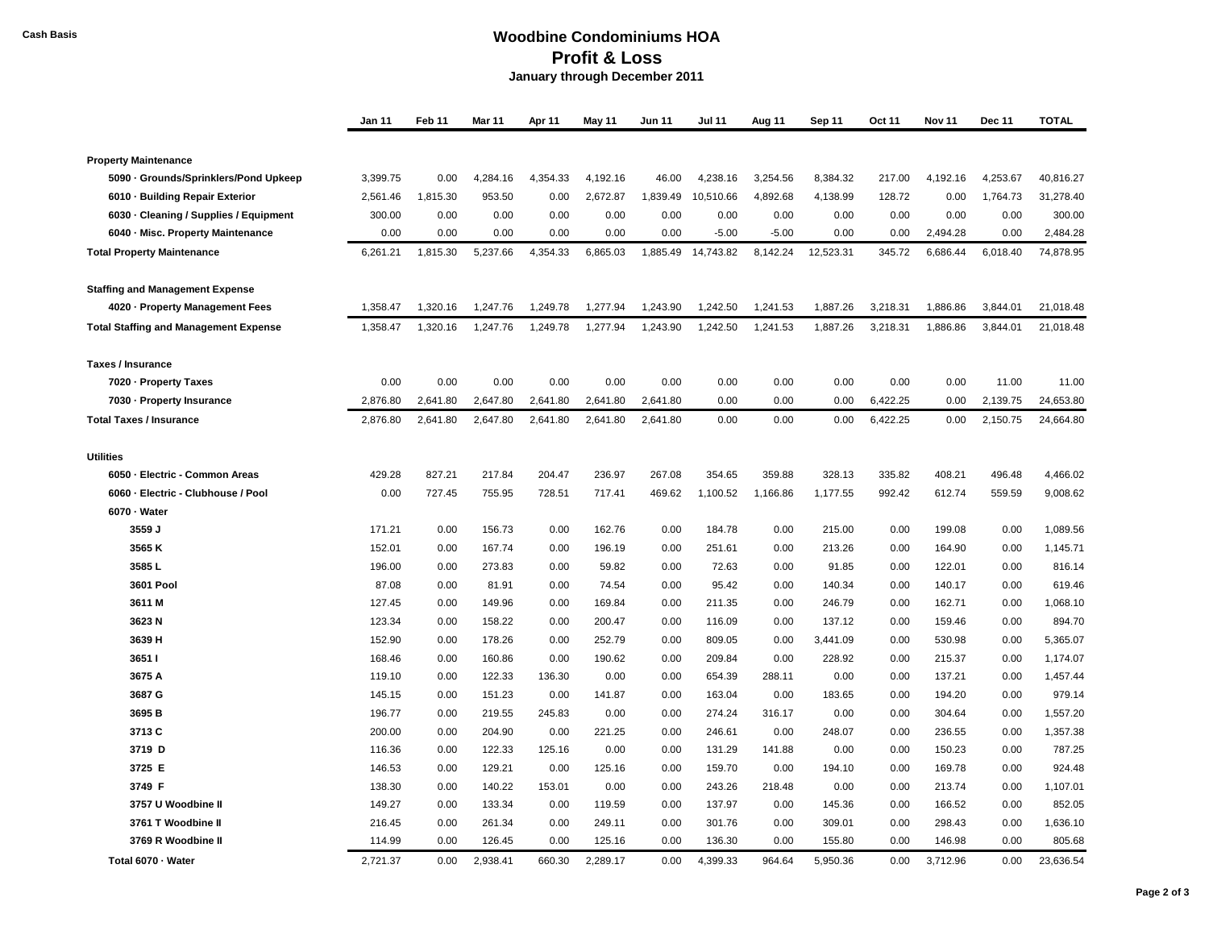## **Cash Basis Woodbine Condominiums HOA Profit & Loss January through December 2011**

|                                              | Jan 11   | Feb 11   | Mar 11   | Apr 11   | May 11   | Jun 11   | <b>Jul 11</b> | Aug 11   | Sep 11    | Oct 11   | <b>Nov 11</b> | Dec 11   | <b>TOTAL</b> |
|----------------------------------------------|----------|----------|----------|----------|----------|----------|---------------|----------|-----------|----------|---------------|----------|--------------|
|                                              |          |          |          |          |          |          |               |          |           |          |               |          |              |
| <b>Property Maintenance</b>                  |          |          |          |          |          |          |               |          |           |          |               |          |              |
| 5090 - Grounds/Sprinklers/Pond Upkeep        | 3,399.75 | 0.00     | 4,284.16 | 4,354.33 | 4,192.16 | 46.00    | 4,238.16      | 3,254.56 | 8,384.32  | 217.00   | 4,192.16      | 4,253.67 | 40,816.27    |
| 6010 - Building Repair Exterior              | 2,561.46 | 1,815.30 | 953.50   | 0.00     | 2,672.87 | 1,839.49 | 10,510.66     | 4,892.68 | 4,138.99  | 128.72   | 0.00          | 1,764.73 | 31,278.40    |
| 6030 · Cleaning / Supplies / Equipment       | 300.00   | 0.00     | 0.00     | 0.00     | 0.00     | 0.00     | 0.00          | 0.00     | 0.00      | 0.00     | 0.00          | 0.00     | 300.00       |
| 6040 - Misc. Property Maintenance            | 0.00     | 0.00     | 0.00     | 0.00     | 0.00     | 0.00     | $-5.00$       | $-5.00$  | 0.00      | 0.00     | 2,494.28      | 0.00     | 2,484.28     |
| <b>Total Property Maintenance</b>            | 6,261.21 | 1,815.30 | 5,237.66 | 4,354.33 | 6,865.03 | 1,885.49 | 14,743.82     | 8,142.24 | 12,523.31 | 345.72   | 6,686.44      | 6,018.40 | 74,878.95    |
| <b>Staffing and Management Expense</b>       |          |          |          |          |          |          |               |          |           |          |               |          |              |
| 4020 - Property Management Fees              | 1,358.47 | 1,320.16 | 1,247.76 | 1,249.78 | 1,277.94 | 1,243.90 | 1,242.50      | 1,241.53 | 1,887.26  | 3,218.31 | 1,886.86      | 3,844.01 | 21,018.48    |
| <b>Total Staffing and Management Expense</b> | 1,358.47 | 1,320.16 | 1,247.76 | 1,249.78 | 1,277.94 | 1,243.90 | 1,242.50      | 1,241.53 | 1,887.26  | 3,218.31 | 1,886.86      | 3,844.01 | 21,018.48    |
| <b>Taxes / Insurance</b>                     |          |          |          |          |          |          |               |          |           |          |               |          |              |
| 7020 - Property Taxes                        | 0.00     | 0.00     | 0.00     | 0.00     | 0.00     | 0.00     | 0.00          | 0.00     | 0.00      | 0.00     | 0.00          | 11.00    | 11.00        |
| 7030 - Property Insurance                    | 2,876.80 | 2,641.80 | 2,647.80 | 2,641.80 | 2,641.80 | 2,641.80 | 0.00          | 0.00     | 0.00      | 6,422.25 | 0.00          | 2,139.75 | 24,653.80    |
| <b>Total Taxes / Insurance</b>               | 2,876.80 | 2,641.80 | 2,647.80 | 2,641.80 | 2,641.80 | 2,641.80 | 0.00          | 0.00     | 0.00      | 6,422.25 | 0.00          | 2,150.75 | 24,664.80    |
| <b>Utilities</b>                             |          |          |          |          |          |          |               |          |           |          |               |          |              |
| 6050 - Electric - Common Areas               | 429.28   | 827.21   | 217.84   | 204.47   | 236.97   | 267.08   | 354.65        | 359.88   | 328.13    | 335.82   | 408.21        | 496.48   | 4,466.02     |
| 6060 - Electric - Clubhouse / Pool           | 0.00     | 727.45   | 755.95   | 728.51   | 717.41   | 469.62   | 1,100.52      | 1,166.86 | 1,177.55  | 992.42   | 612.74        | 559.59   | 9,008.62     |
| 6070 - Water                                 |          |          |          |          |          |          |               |          |           |          |               |          |              |
| 3559 J                                       | 171.21   | 0.00     | 156.73   | 0.00     | 162.76   | 0.00     | 184.78        | 0.00     | 215.00    | 0.00     | 199.08        | 0.00     | 1,089.56     |
| 3565 K                                       | 152.01   | 0.00     | 167.74   | 0.00     | 196.19   | 0.00     | 251.61        | 0.00     | 213.26    | 0.00     | 164.90        | 0.00     | 1,145.71     |
| 3585L                                        | 196.00   | 0.00     | 273.83   | 0.00     | 59.82    | 0.00     | 72.63         | 0.00     | 91.85     | 0.00     | 122.01        | 0.00     | 816.14       |
| <b>3601 Pool</b>                             | 87.08    | 0.00     | 81.91    | 0.00     | 74.54    | 0.00     | 95.42         | 0.00     | 140.34    | 0.00     | 140.17        | 0.00     | 619.46       |
| 3611 M                                       | 127.45   | 0.00     | 149.96   | 0.00     | 169.84   | 0.00     | 211.35        | 0.00     | 246.79    | 0.00     | 162.71        | 0.00     | 1,068.10     |
| 3623 N                                       | 123.34   | 0.00     | 158.22   | 0.00     | 200.47   | 0.00     | 116.09        | 0.00     | 137.12    | 0.00     | 159.46        | 0.00     | 894.70       |
| 3639 H                                       | 152.90   | 0.00     | 178.26   | 0.00     | 252.79   | 0.00     | 809.05        | 0.00     | 3,441.09  | 0.00     | 530.98        | 0.00     | 5,365.07     |
| 3651 I                                       | 168.46   | 0.00     | 160.86   | 0.00     | 190.62   | 0.00     | 209.84        | 0.00     | 228.92    | 0.00     | 215.37        | 0.00     | 1,174.07     |
| 3675 A                                       | 119.10   | 0.00     | 122.33   | 136.30   | 0.00     | 0.00     | 654.39        | 288.11   | 0.00      | 0.00     | 137.21        | 0.00     | 1,457.44     |
| 3687 G                                       | 145.15   | 0.00     | 151.23   | 0.00     | 141.87   | 0.00     | 163.04        | 0.00     | 183.65    | 0.00     | 194.20        | 0.00     | 979.14       |
| 3695 <sub>B</sub>                            | 196.77   | 0.00     | 219.55   | 245.83   | 0.00     | 0.00     | 274.24        | 316.17   | 0.00      | 0.00     | 304.64        | 0.00     | 1,557.20     |
| 3713 C                                       | 200.00   | 0.00     | 204.90   | 0.00     | 221.25   | 0.00     | 246.61        | 0.00     | 248.07    | 0.00     | 236.55        | 0.00     | 1,357.38     |
| 3719 D                                       | 116.36   | 0.00     | 122.33   | 125.16   | 0.00     | 0.00     | 131.29        | 141.88   | 0.00      | 0.00     | 150.23        | 0.00     | 787.25       |
| 3725 E                                       | 146.53   | 0.00     | 129.21   | 0.00     | 125.16   | 0.00     | 159.70        | 0.00     | 194.10    | 0.00     | 169.78        | 0.00     | 924.48       |
| 3749 F                                       | 138.30   | 0.00     | 140.22   | 153.01   | 0.00     | 0.00     | 243.26        | 218.48   | 0.00      | 0.00     | 213.74        | 0.00     | 1,107.01     |
| 3757 U Woodbine II                           | 149.27   | 0.00     | 133.34   | 0.00     | 119.59   | 0.00     | 137.97        | 0.00     | 145.36    | 0.00     | 166.52        | 0.00     | 852.05       |
| 3761 T Woodbine II                           | 216.45   | 0.00     | 261.34   | 0.00     | 249.11   | 0.00     | 301.76        | 0.00     | 309.01    | 0.00     | 298.43        | 0.00     | 1,636.10     |
| 3769 R Woodbine II                           | 114.99   | 0.00     | 126.45   | 0.00     | 125.16   | 0.00     | 136.30        | 0.00     | 155.80    | 0.00     | 146.98        | 0.00     | 805.68       |
| Total 6070 - Water                           | 2.721.37 | 0.00     | 2.938.41 | 660.30   | 2,289.17 | 0.00     | 4.399.33      | 964.64   | 5,950.36  | 0.00     | 3.712.96      | 0.00     | 23.636.54    |